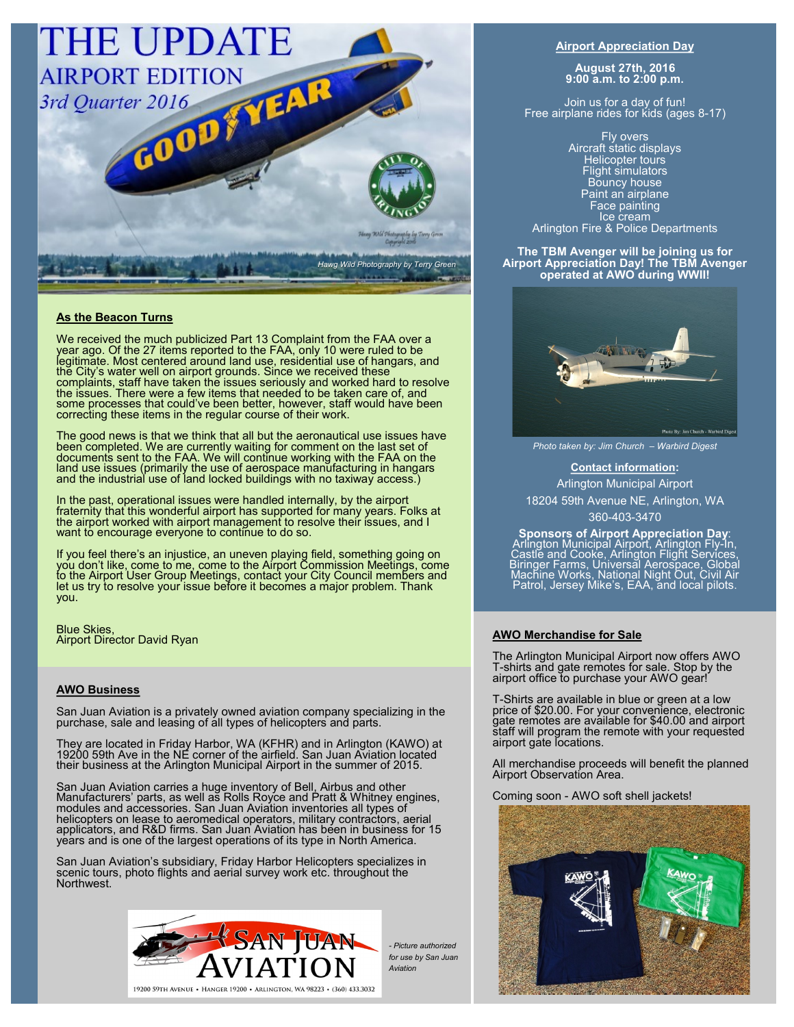

# **As the Beacon Turns**

We received the much publicized Part 13 Complaint from the FAA over a year ago. Of the 27 items reported to the FAA, only 10 were ruled to be legitimate. Most centered around land use, residential use of hangars, and the City's water well on airport grounds. Since we received these complaints, staff have taken the issues seriously and worked hard to resolve the issues. There were a few items that needed to be taken care of, and some processes that could've been better, however, staff would have been correcting these items in the regular course of their work.

The good news is that we think that all but the aeronautical use issues have been completed. We are currently waiting for comment on the last set of documents sent to the FAA. We will continue working with the FAA on the land use issues (primarily the use of aerospace manufacturing in hangars and the industrial use of land locked buildings with no taxiway access.)

In the past, operational issues were handled internally, by the airport fraternity that this wonderful airport has supported for many years. Folks at the airport worked with airport management to resolve their issues, and I want to encourage everyone to continue to do so.

If you feel there's an injustice, an uneven playing field, something going on you don't like, come to me, come to the Airport Commission Meetings, come to the Airport User Group Meetings, contact your City Council members and let us try to resolve your issue before it becomes a major problem. Thank you.

Blue Skies, Airport Director David Ryan

### **AWO Business**

San Juan Aviation is a privately owned aviation company specializing in the purchase, sale and leasing of all types of helicopters and parts.

They are located in Friday Harbor, WA (KFHR) and in Arlington (KAWO) at 19200 59th Ave in the NE corner of the airfield. San Juan Aviation located their business at the Arlington Municipal Airport in the summer of 2015.

San Juan Aviation carries a huge inventory of Bell, Airbus and other Manufacturers' parts, as well as Rolls Royce and Pratt & Whitney engines, modules and accessories. San Juan Aviation inventories all types of helicopters on lease to aeromedical operators, military contractors, aerial applicators, and R&D firms. San Juan Aviation has been in business for 15 years and is one of the largest operations of its type in North America.

San Juan Aviation's subsidiary, Friday Harbor Helicopters specializes in scenic tours, photo flights and aerial survey work etc. throughout the Northwest.



*- Picture authorized for use by San Juan Aviation* 

### **Airport Appreciation Day**

**August 27th, 2016 9:00 a.m. to 2:00 p.m.**

Join us for a day of fun! Free airplane rides for kids (ages 8-17)

Fly overs Aircraft static displays Helicopter tours Flight simulators Bouncy house Paint an airplane Face painting Ice cream Arlington Fire & Police Departments

**The TBM Avenger will be joining us for Airport Appreciation Day! The TBM Avenger operated at AWO during WWII!**



*Photo taken by: Jim Church – Warbird Digest*

## **Contact information:**

Arlington Municipal Airport 18204 59th Avenue NE, Arlington, WA 360-403-3470

**Sponsors of Airport Appreciation Day**: Arlington Municipal Airport, Arlington Fly-1n,<br>Castle and Cooke, Arlington Flight Services,<br>Biringer Farms, Universal Aerospace, Global<br>Machine Works, National Night Out, Civil Air<br>Patrol, Jersey Mike's, EAA, and local pil

## **AWO Merchandise for Sale**

The Arlington Municipal Airport now offers AWO T-shirts and gate remotes for sale. Stop by the airport office to purchase your AWO gear!

T-Shirts are available in blue or green at a low price of \$20.00. For your convenience, electronic gate remotes are available for \$40.00 and airport staff will program the remote with your requested airport gate locations.

All merchandise proceeds will benefit the planned Airport Observation Area.

Coming soon - AWO soft shell jackets!